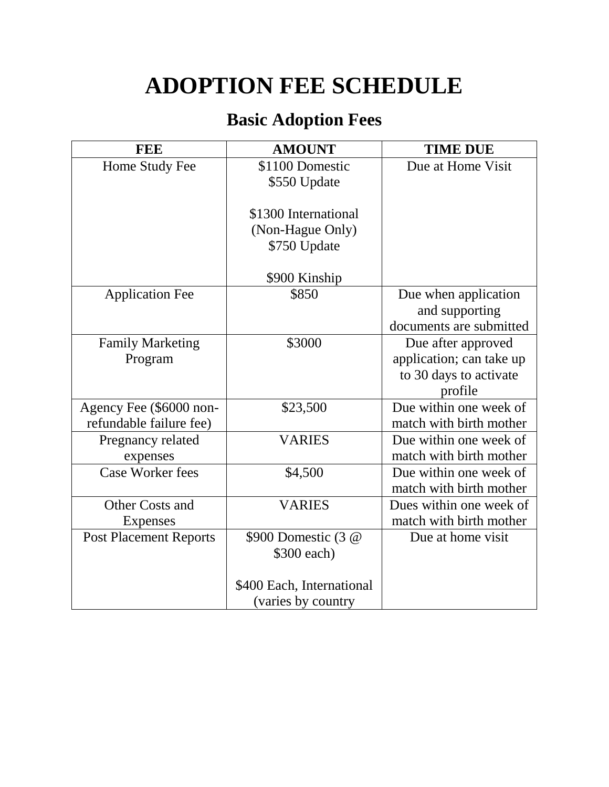## **ADOPTION FEE SCHEDULE**

## **Basic Adoption Fees**

| <b>FEE</b>                    | <b>AMOUNT</b>             | <b>TIME DUE</b>          |
|-------------------------------|---------------------------|--------------------------|
| Home Study Fee                | \$1100 Domestic           | Due at Home Visit        |
|                               | \$550 Update              |                          |
|                               |                           |                          |
|                               | \$1300 International      |                          |
|                               | (Non-Hague Only)          |                          |
|                               | \$750 Update              |                          |
|                               | \$900 Kinship             |                          |
| <b>Application Fee</b>        | \$850                     | Due when application     |
|                               |                           | and supporting           |
|                               |                           | documents are submitted  |
| <b>Family Marketing</b>       | \$3000                    | Due after approved       |
| Program                       |                           | application; can take up |
|                               |                           | to 30 days to activate   |
|                               |                           | profile                  |
| Agency Fee (\$6000 non-       | \$23,500                  | Due within one week of   |
| refundable failure fee)       |                           | match with birth mother  |
| Pregnancy related             | <b>VARIES</b>             | Due within one week of   |
| expenses                      |                           | match with birth mother  |
| <b>Case Worker fees</b>       | \$4,500                   | Due within one week of   |
|                               |                           | match with birth mother  |
| Other Costs and               | <b>VARIES</b>             | Dues within one week of  |
| <b>Expenses</b>               |                           | match with birth mother  |
| <b>Post Placement Reports</b> | \$900 Domestic (3 @       | Due at home visit        |
|                               | \$300 each)               |                          |
|                               |                           |                          |
|                               | \$400 Each, International |                          |
|                               | (varies by country        |                          |